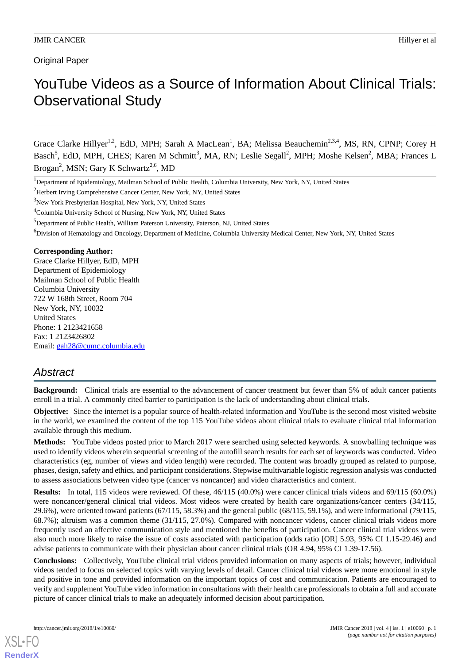**Original Paper** 

# YouTube Videos as a Source of Information About Clinical Trials: Observational Study

Grace Clarke Hillyer<sup>1,2</sup>, EdD, MPH; Sarah A MacLean<sup>1</sup>, BA; Melissa Beauchemin<sup>2,3,4</sup>, MS, RN, CPNP; Corey H Basch<sup>5</sup>, EdD, MPH, CHES; Karen M Schmitt<sup>3</sup>, MA, RN; Leslie Segall<sup>2</sup>, MPH; Moshe Kelsen<sup>2</sup>, MBA; Frances L Brogan<sup>2</sup>, MSN; Gary K Schwartz<sup>2,6</sup>, MD

<sup>4</sup>Columbia University School of Nursing, New York, NY, United States

<sup>5</sup>Department of Public Health, William Paterson University, Paterson, NJ, United States

<sup>6</sup>Division of Hematology and Oncology, Department of Medicine, Columbia University Medical Center, New York, NY, United States

#### **Corresponding Author:**

Grace Clarke Hillyer, EdD, MPH Department of Epidemiology Mailman School of Public Health Columbia University 722 W 168th Street, Room 704 New York, NY, 10032 United States Phone: 1 2123421658 Fax: 1 2123426802 Email: [gah28@cumc.columbia.edu](mailto:gah28@cumc.columbia.edu)

## *Abstract*

**Background:** Clinical trials are essential to the advancement of cancer treatment but fewer than 5% of adult cancer patients enroll in a trial. A commonly cited barrier to participation is the lack of understanding about clinical trials.

**Objective:** Since the internet is a popular source of health-related information and YouTube is the second most visited website in the world, we examined the content of the top 115 YouTube videos about clinical trials to evaluate clinical trial information available through this medium.

**Methods:** YouTube videos posted prior to March 2017 were searched using selected keywords. A snowballing technique was used to identify videos wherein sequential screening of the autofill search results for each set of keywords was conducted. Video characteristics (eg, number of views and video length) were recorded. The content was broadly grouped as related to purpose, phases, design, safety and ethics, and participant considerations. Stepwise multivariable logistic regression analysis was conducted to assess associations between video type (cancer vs noncancer) and video characteristics and content.

**Results:** In total, 115 videos were reviewed. Of these, 46/115 (40.0%) were cancer clinical trials videos and 69/115 (60.0%) were noncancer/general clinical trial videos. Most videos were created by health care organizations/cancer centers (34/115, 29.6%), were oriented toward patients  $(67/115, 58.3\%)$  and the general public  $(68/115, 59.1\%)$ , and were informational  $(79/115,$ 68.7%); altruism was a common theme (31/115, 27.0%). Compared with noncancer videos, cancer clinical trials videos more frequently used an affective communication style and mentioned the benefits of participation. Cancer clinical trial videos were also much more likely to raise the issue of costs associated with participation (odds ratio [OR] 5.93, 95% CI 1.15-29.46) and advise patients to communicate with their physician about cancer clinical trials (OR 4.94, 95% CI 1.39-17.56).

**Conclusions:** Collectively, YouTube clinical trial videos provided information on many aspects of trials; however, individual videos tended to focus on selected topics with varying levels of detail. Cancer clinical trial videos were more emotional in style and positive in tone and provided information on the important topics of cost and communication. Patients are encouraged to verify and supplement YouTube video information in consultations with their health care professionals to obtain a full and accurate picture of cancer clinical trials to make an adequately informed decision about participation.

<sup>1</sup>Department of Epidemiology, Mailman School of Public Health, Columbia University, New York, NY, United States

<sup>&</sup>lt;sup>2</sup>Herbert Irving Comprehensive Cancer Center, New York, NY, United States

<sup>&</sup>lt;sup>3</sup>New York Presbyterian Hospital, New York, NY, United States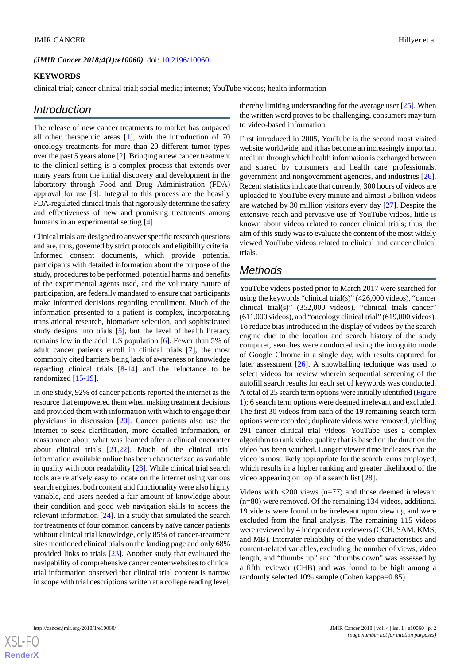#### (JMIR Cancer 2018;4(1):e10060) doi: [10.2196/10060](http://dx.doi.org/10.2196/10060)

## **KEYWORDS**

clinical trial; cancer clinical trial; social media; internet; YouTube videos; health information

## *Introduction*

The release of new cancer treatments to market has outpaced all other therapeutic areas [\[1](#page-8-0)], with the introduction of 70 oncology treatments for more than 20 different tumor types over the past 5 years alone [[2\]](#page-8-1). Bringing a new cancer treatment to the clinical setting is a complex process that extends over many years from the initial discovery and development in the laboratory through Food and Drug Administration (FDA) approval for use [[3\]](#page-8-2). Integral to this process are the heavily FDA-regulated clinical trials that rigorously determine the safety and effectiveness of new and promising treatments among humans in an experimental setting [\[4](#page-8-3)].

Clinical trials are designed to answer specific research questions and are, thus, governed by strict protocols and eligibility criteria. Informed consent documents, which provide potential participants with detailed information about the purpose of the study, procedures to be performed, potential harms and benefits of the experimental agents used, and the voluntary nature of participation, are federally mandated to ensure that participants make informed decisions regarding enrollment. Much of the information presented to a patient is complex, incorporating translational research, biomarker selection, and sophisticated study designs into trials [[5\]](#page-8-4), but the level of health literacy remains low in the adult US population [\[6\]](#page-8-5). Fewer than 5% of adult cancer patients enroll in clinical trials [\[7](#page-9-0)], the most commonly cited barriers being lack of awareness or knowledge regarding clinical trials [[8-](#page-9-1)[14](#page-9-2)] and the reluctance to be randomized [[15-](#page-9-3)[19\]](#page-9-4).

In one study, 92% of cancer patients reported the internet as the resource that empowered them when making treatment decisions and provided them with information with which to engage their physicians in discussion [\[20](#page-9-5)]. Cancer patients also use the internet to seek clarification, more detailed information, or reassurance about what was learned after a clinical encounter about clinical trials [[21,](#page-9-6)[22](#page-9-7)]. Much of the clinical trial information available online has been characterized as variable in quality with poor readability [\[23](#page-9-8)]. While clinical trial search tools are relatively easy to locate on the internet using various search engines, both content and functionality were also highly variable, and users needed a fair amount of knowledge about their condition and good web navigation skills to access the relevant information [\[24](#page-9-9)]. In a study that simulated the search for treatments of four common cancers by naïve cancer patients without clinical trial knowledge, only 85% of cancer-treatment sites mentioned clinical trials on the landing page and only 68% provided links to trials [[23\]](#page-9-8). Another study that evaluated the navigability of comprehensive cancer center websites to clinical trial information observed that clinical trial content is narrow in scope with trial descriptions written at a college reading level,

thereby limiting understanding for the average user [[25\]](#page-9-10). When the written word proves to be challenging, consumers may turn to video-based information.

First introduced in 2005, YouTube is the second most visited website worldwide, and it has become an increasingly important medium through which health information is exchanged between and shared by consumers and health care professionals, government and nongovernment agencies, and industries [[26\]](#page-9-11). Recent statistics indicate that currently, 300 hours of videos are uploaded to YouTube every minute and almost 5 billion videos are watched by 30 million visitors every day [[27\]](#page-9-12). Despite the extensive reach and pervasive use of YouTube videos, little is known about videos related to cancer clinical trials; thus, the aim of this study was to evaluate the content of the most widely viewed YouTube videos related to clinical and cancer clinical trials.

## *Methods*

YouTube videos posted prior to March 2017 were searched for using the keywords "clinical trial(s)" (426,000 videos), "cancer clinical trial(s)" (352,000 videos), "clinical trials cancer" (611,000 videos), and "oncology clinical trial" (619,000 videos). To reduce bias introduced in the display of videos by the search engine due to the location and search history of the study computer, searches were conducted using the incognito mode of Google Chrome in a single day, with results captured for later assessment [\[26](#page-9-11)]. A snowballing technique was used to select videos for review wherein sequential screening of the autofill search results for each set of keywords was conducted. A total of 25 search term options were initially identified [\(Figure](#page-2-0) [1\)](#page-2-0); 6 search term options were deemed irrelevant and excluded. The first 30 videos from each of the 19 remaining search term options were recorded; duplicate videos were removed, yielding 291 cancer clinical trial videos. YouTube uses a complex algorithm to rank video quality that is based on the duration the video has been watched. Longer viewer time indicates that the video is most likely appropriate for the search terms employed, which results in a higher ranking and greater likelihood of the video appearing on top of a search list [[28\]](#page-9-13).

Videos with <200 views (n=77) and those deemed irrelevant (n=80) were removed. Of the remaining 134 videos, additional 19 videos were found to be irrelevant upon viewing and were excluded from the final analysis. The remaining 115 videos were reviewed by 4 independent reviewers (GCH, SAM, KMS, and MB). Interrater reliability of the video characteristics and content-related variables, excluding the number of views, video length, and "thumbs up" and "thumbs down" was assessed by a fifth reviewer (CHB) and was found to be high among a randomly selected 10% sample (Cohen kappa=0.85).

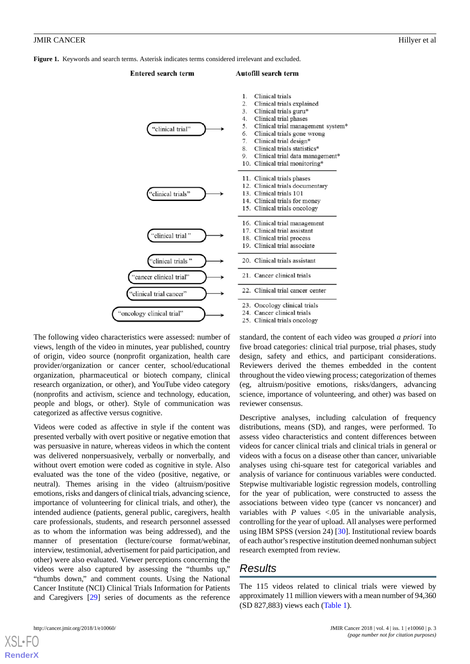<span id="page-2-0"></span>**Figure 1.** Keywords and search terms. Asterisk indicates terms considered irrelevant and excluded.

#### **Entered search term** Autofill search term Clinical trials  $\mathbf{1}$ 2. Clinical trials explained  $\mathbf{z}$ Clinical trials guru\*  $\mathbf{4}$ Clinical trial phases Clinical trial management system\* 5. 'clinical trial' 6. Clinical trials gone wrong  $\overline{7}$ Clinical trial design\*  $\mathbf{8}$ Clinical trials statistics\*  $\mathbf Q$ Clinical trial data management\* 10. Clinical trial monitoring\* 11. Clinical trials phases 12. Clinical trials documentary 13. Clinical trials 101 'clinical trials' 14. Clinical trials for money 15 Clinical trials oncology 16. Clinical trial management Clinical trial assistant  $17$ 'clinical trial' 18. Clinical trial process Clinical trial associate 19. 'clinical trials" 20. Clinical trials assistant 21 Cancer clinical trials "cancer clinical trial" 22. Clinical trial cancer center "clinical trial cancer" 'oncology clinical trial"

The following video characteristics were assessed: number of views, length of the video in minutes, year published, country of origin, video source (nonprofit organization, health care provider/organization or cancer center, school/educational organization, pharmaceutical or biotech company, clinical research organization, or other), and YouTube video category (nonprofits and activism, science and technology, education, people and blogs, or other). Style of communication was categorized as affective versus cognitive.

Videos were coded as affective in style if the content was presented verbally with overt positive or negative emotion that was persuasive in nature, whereas videos in which the content was delivered nonpersuasively, verbally or nonverbally, and without overt emotion were coded as cognitive in style. Also evaluated was the tone of the video (positive, negative, or neutral). Themes arising in the video (altruism/positive emotions, risks and dangers of clinical trials, advancing science, importance of volunteering for clinical trials, and other), the intended audience (patients, general public, caregivers, health care professionals, students, and research personnel assessed as to whom the information was being addressed), and the manner of presentation (lecture/course format/webinar, interview, testimonial, advertisement for paid participation, and other) were also evaluated. Viewer perceptions concerning the videos were also captured by assessing the "thumbs up," "thumbs down," and comment counts. Using the National Cancer Institute (NCI) Clinical Trials Information for Patients and Caregivers [[29\]](#page-9-14) series of documents as the reference

23. Oncology clinical trials 24. Cancer clinical trials 25. Clinical trials oncology standard, the content of each video was grouped *a priori* into five broad categories: clinical trial purpose, trial phases, study design, safety and ethics, and participant considerations. Reviewers derived the themes embedded in the content throughout the video viewing process; categorization of themes (eg, altruism/positive emotions, risks/dangers, advancing science, importance of volunteering, and other) was based on reviewer consensus.

Descriptive analyses, including calculation of frequency distributions, means (SD), and ranges, were performed. To assess video characteristics and content differences between videos for cancer clinical trials and clinical trials in general or videos with a focus on a disease other than cancer, univariable analyses using chi-square test for categorical variables and analysis of variance for continuous variables were conducted. Stepwise multivariable logistic regression models, controlling for the year of publication, were constructed to assess the associations between video type (cancer vs noncancer) and variables with  $P$  values  $\lt 0.05$  in the univariable analysis, controlling for the year of upload. All analyses were performed using IBM SPSS (version 24) [[30\]](#page-10-0). Institutional review boards of each author's respective institution deemed nonhuman subject research exempted from review.

## *Results*

The 115 videos related to clinical trials were viewed by approximately 11 million viewers with a mean number of 94,360 (SD 827,883) views each [\(Table 1\)](#page-3-0).



**[RenderX](http://www.renderx.com/)**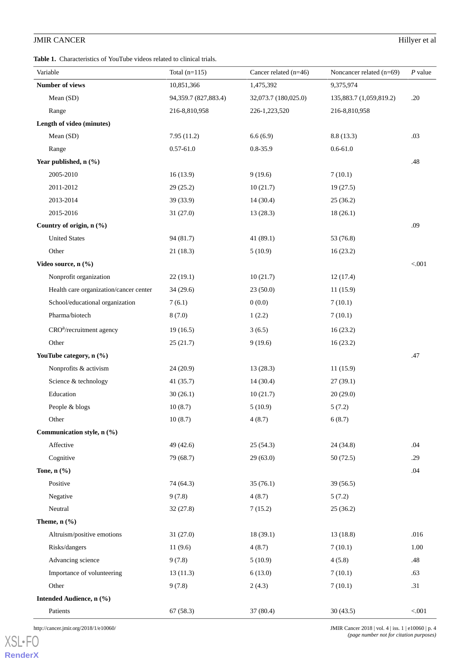<span id="page-3-0"></span>**Table 1.** Characteristics of YouTube videos related to clinical trials.

| Variable                               | Total $(n=115)$        | Cancer related $(n=46)$ | Noncancer related (n=69) | $P$ value |
|----------------------------------------|------------------------|-------------------------|--------------------------|-----------|
| Number of views                        | 10,851,366             | 1,475,392               | 9,375,974                |           |
| Mean (SD)                              | 94, 359.7 (827, 883.4) | 32,073.7 (180,025.0)    | 135,883.7 (1,059,819.2)  | .20       |
| Range                                  | 216-8,810,958          | 226-1,223,520           | 216-8,810,958            |           |
| Length of video (minutes)              |                        |                         |                          |           |
| Mean (SD)                              | 7.95(11.2)             | 6.6(6.9)                | 8.8(13.3)                | .03       |
| Range                                  | $0.57 - 61.0$          | $0.8 - 35.9$            | $0.6 - 61.0$             |           |
| Year published, n (%)                  |                        |                         |                          | .48       |
| 2005-2010                              | 16(13.9)               | 9(19.6)                 | 7(10.1)                  |           |
| 2011-2012                              | 29(25.2)               | 10(21.7)                | 19(27.5)                 |           |
| 2013-2014                              | 39 (33.9)              | 14(30.4)                | 25(36.2)                 |           |
| 2015-2016                              | 31(27.0)               | 13(28.3)                | 18(26.1)                 |           |
| Country of origin, n (%)               |                        |                         |                          | .09       |
| <b>United States</b>                   | 94(81.7)               | 41(89.1)                | 53 (76.8)                |           |
| Other                                  | 21(18.3)               | 5(10.9)                 | 16(23.2)                 |           |
| Video source, n (%)                    |                        |                         |                          | < .001    |
| Nonprofit organization                 | 22(19.1)               | 10(21.7)                | 12(17.4)                 |           |
| Health care organization/cancer center | 34(29.6)               | 23(50.0)                | 11(15.9)                 |           |
| School/educational organization        | 7(6.1)                 | 0(0.0)                  | 7(10.1)                  |           |
| Pharma/biotech                         | 8(7.0)                 | 1(2.2)                  | 7(10.1)                  |           |
| CRO <sup>a</sup> /recruitment agency   | 19(16.5)               | 3(6.5)                  | 16(23.2)                 |           |
| Other                                  | 25(21.7)               | 9(19.6)                 | 16(23.2)                 |           |
| YouTube category, n (%)                |                        |                         |                          | .47       |
| Nonprofits & activism                  | 24(20.9)               | 13(28.3)                | 11(15.9)                 |           |
| Science & technology                   | 41(35.7)               | 14(30.4)                | 27(39.1)                 |           |
| Education                              | 30(26.1)               | 10(21.7)                | 20(29.0)                 |           |
| People & blogs                         | 10(8.7)                | 5(10.9)                 | 5(7.2)                   |           |
| Other                                  | 10(8.7)                | 4(8.7)                  | 6(8.7)                   |           |
| Communication style, n (%)             |                        |                         |                          |           |
| Affective                              | 49 (42.6)              | 25(54.3)                | 24 (34.8)                | .04       |
| Cognitive                              | 79 (68.7)              | 29(63.0)                | 50(72.5)                 | .29       |
| Tone, $n$ $(\%)$                       |                        |                         |                          | .04       |
| Positive                               | 74 (64.3)              | 35(76.1)                | 39(56.5)                 |           |
| Negative                               | 9(7.8)                 | 4(8.7)                  | 5(7.2)                   |           |
| Neutral                                | 32(27.8)               | 7(15.2)                 | 25(36.2)                 |           |
| Theme, $n$ $(\%)$                      |                        |                         |                          |           |
| Altruism/positive emotions             | 31(27.0)               | 18(39.1)                | 13(18.8)                 | .016      |
| Risks/dangers                          | 11(9.6)                | 4(8.7)                  | 7(10.1)                  | 1.00      |
| Advancing science                      | 9(7.8)                 | 5(10.9)                 | 4(5.8)                   | .48       |
| Importance of volunteering             | 13(11.3)               | 6(13.0)                 | 7(10.1)                  | .63       |
| Other                                  | 9(7.8)                 | 2(4.3)                  | 7(10.1)                  | .31       |
| Intended Audience, n (%)               |                        |                         |                          |           |
| Patients                               | 67(58.3)               | 37 (80.4)               | 30(43.5)                 | $< 001$   |

[XSL](http://www.w3.org/Style/XSL)•FO **[RenderX](http://www.renderx.com/)**

http://cancer.jmir.org/2018/1/e10060/ JMIR Cancer 2018 | vol. 4 | iss. 1 | e10060 | p. 4 *(page number not for citation purposes)*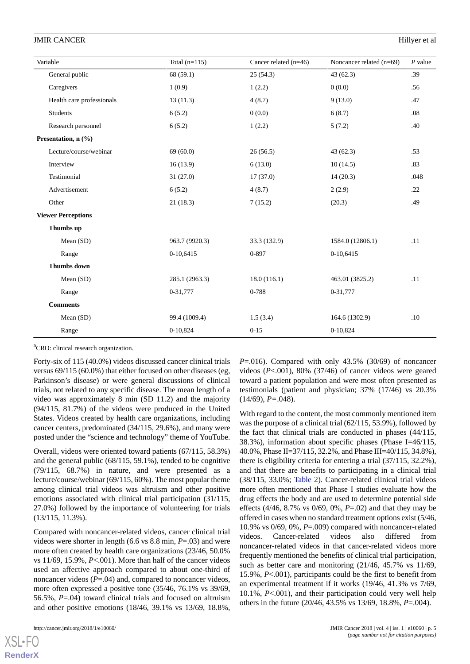| Variable                  |                           | Total $(n=115)$ | Cancer related $(n=46)$ | Noncancer related (n=69) | $P$ value |
|---------------------------|---------------------------|-----------------|-------------------------|--------------------------|-----------|
|                           | General public            | 68 (59.1)       | 25(54.3)                | 43(62.3)                 | .39       |
|                           | Caregivers                | 1(0.9)          | 1(2.2)                  | 0(0.0)                   | .56       |
|                           | Health care professionals | 13(11.3)        | 4(8.7)                  | 9(13.0)                  | .47       |
|                           | <b>Students</b>           | 6(5.2)          | 0(0.0)                  | 6(8.7)                   | .08       |
|                           | Research personnel        | 6(5.2)          | 1(2.2)                  | 5(7.2)                   | .40       |
|                           | Presentation, n (%)       |                 |                         |                          |           |
|                           | Lecture/course/webinar    | 69 (60.0)       | 26(56.5)                | 43(62.3)                 | .53       |
|                           | Interview                 | 16(13.9)        | 6(13.0)                 | 10(14.5)                 | .83       |
|                           | Testimonial               | 31(27.0)        | 17(37.0)                | 14(20.3)                 | .048      |
|                           | Advertisement             | 6(5.2)          | 4(8.7)                  | 2(2.9)                   | .22       |
|                           | Other                     | 21(18.3)        | 7(15.2)                 | (20.3)                   | .49       |
| <b>Viewer Perceptions</b> |                           |                 |                         |                          |           |
|                           | Thumbs up                 |                 |                         |                          |           |
|                           | Mean (SD)                 | 963.7 (9920.3)  | 33.3 (132.9)            | 1584.0 (12806.1)         | .11       |
|                           | Range                     | 0-10,6415       | 0-897                   | 0-10,6415                |           |
|                           | <b>Thumbs</b> down        |                 |                         |                          |           |
|                           | Mean (SD)                 | 285.1 (2963.3)  | 18.0(116.1)             | 463.01 (3825.2)          | .11       |
|                           | Range                     | 0-31,777        | 0-788                   | 0-31,777                 |           |
|                           | <b>Comments</b>           |                 |                         |                          |           |
|                           | Mean (SD)                 | 99.4 (1009.4)   | 1.5(3.4)                | 164.6 (1302.9)           | .10       |
|                           | Range                     | 0-10,824        | $0 - 15$                | 0-10,824                 |           |

<sup>a</sup>CRO: clinical research organization.

Forty-six of 115 (40.0%) videos discussed cancer clinical trials versus 69/115 (60.0%) that either focused on other diseases (eg, Parkinson's disease) or were general discussions of clinical trials, not related to any specific disease. The mean length of a video was approximately 8 min (SD 11.2) and the majority (94/115, 81.7%) of the videos were produced in the United States. Videos created by health care organizations, including cancer centers, predominated (34/115, 29.6%), and many were posted under the "science and technology" theme of YouTube.

Overall, videos were oriented toward patients (67/115, 58.3%) and the general public (68/115, 59.1%), tended to be cognitive (79/115, 68.7%) in nature, and were presented as a lecture/course/webinar (69/115, 60%). The most popular theme among clinical trial videos was altruism and other positive emotions associated with clinical trial participation (31/115, 27.0%) followed by the importance of volunteering for trials (13/115, 11.3%).

Compared with noncancer-related videos, cancer clinical trial videos were shorter in length (6.6 vs 8.8 min, *P*=.03) and were more often created by health care organizations (23/46, 50.0% vs 11/69, 15.9%, *P*<.001). More than half of the cancer videos used an affective approach compared to about one-third of noncancer videos ( $P = .04$ ) and, compared to noncancer videos, more often expressed a positive tone (35/46, 76.1% vs 39/69, 56.5%, *P*=.04) toward clinical trials and focused on altruism and other positive emotions (18/46, 39.1% vs 13/69, 18.8%,

[XSL](http://www.w3.org/Style/XSL)•FO **[RenderX](http://www.renderx.com/)**

*P*=.016). Compared with only 43.5% (30/69) of noncancer videos (*P*<.001), 80% (37/46) of cancer videos were geared toward a patient population and were most often presented as testimonials (patient and physician; 37% (17/46) vs 20.3% (14/69), *P=*.048).

With regard to the content, the most commonly mentioned item was the purpose of a clinical trial (62/115, 53.9%), followed by the fact that clinical trials are conducted in phases (44/115, 38.3%), information about specific phases (Phase I=46/115, 40.0%, Phase II=37/115, 32.2%, and Phase III=40/115, 34.8%), there is eligibility criteria for entering a trial (37/115, 32.2%), and that there are benefits to participating in a clinical trial (38/115, 33.0%; [Table 2](#page-5-0)). Cancer-related clinical trial videos more often mentioned that Phase I studies evaluate how the drug effects the body and are used to determine potential side effects (4/46, 8.7% vs 0/69, 0%, *P*=.02) and that they may be offered in cases when no standard treatment options exist (5/46, 10.9% vs 0/69, 0%, *P*=.009) compared with noncancer-related videos. Cancer-related videos also differed from noncancer-related videos in that cancer-related videos more frequently mentioned the benefits of clinical trial participation, such as better care and monitoring (21/46, 45.7% vs 11/69, 15.9%, *P*<.001), participants could be the first to benefit from an experimental treatment if it works (19/46, 41.3% vs 7/69, 10.1%, *P*<.001), and their participation could very well help others in the future (20/46, 43.5% vs 13/69, 18.8%, *P*=.004).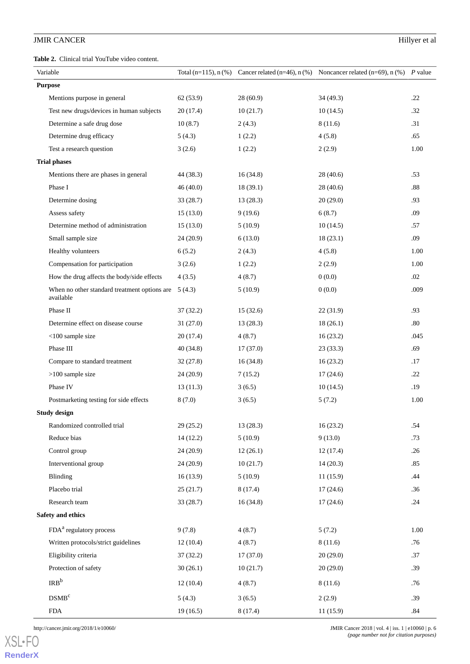<span id="page-5-0"></span>**Table 2.** Clinical trial YouTube video content.

|                | Variable                                                           |           |          | Total (n=115), n (%) Cancer related (n=46), n (%) Noncancer related (n=69), n (%) P value |         |
|----------------|--------------------------------------------------------------------|-----------|----------|-------------------------------------------------------------------------------------------|---------|
| <b>Purpose</b> |                                                                    |           |          |                                                                                           |         |
|                | Mentions purpose in general                                        | 62 (53.9) | 28(60.9) | 34(49.3)                                                                                  | .22     |
|                | Test new drugs/devices in human subjects                           | 20(17.4)  | 10(21.7) | 10(14.5)                                                                                  | .32     |
|                | Determine a safe drug dose                                         | 10(8.7)   | 2(4.3)   | 8(11.6)                                                                                   | .31     |
|                | Determine drug efficacy                                            | 5(4.3)    | 1(2.2)   | 4(5.8)                                                                                    | .65     |
|                | Test a research question                                           | 3(2.6)    | 1(2.2)   | 2(2.9)                                                                                    | 1.00    |
|                | <b>Trial phases</b>                                                |           |          |                                                                                           |         |
|                | Mentions there are phases in general                               | 44 (38.3) | 16(34.8) | 28 (40.6)                                                                                 | .53     |
|                | Phase I                                                            | 46(40.0)  | 18(39.1) | 28(40.6)                                                                                  | $.88\,$ |
|                | Determine dosing                                                   | 33(28.7)  | 13(28.3) | 20(29.0)                                                                                  | .93     |
|                | Assess safety                                                      | 15(13.0)  | 9(19.6)  | 6(8.7)                                                                                    | .09     |
|                | Determine method of administration                                 | 15(13.0)  | 5(10.9)  | 10(14.5)                                                                                  | .57     |
|                | Small sample size                                                  | 24(20.9)  | 6(13.0)  | 18(23.1)                                                                                  | .09     |
|                | Healthy volunteers                                                 | 6(5.2)    | 2(4.3)   | 4(5.8)                                                                                    | 1.00    |
|                | Compensation for participation                                     | 3(2.6)    | 1(2.2)   | 2(2.9)                                                                                    | 1.00    |
|                | How the drug affects the body/side effects                         | 4(3.5)    | 4(8.7)   | 0(0.0)                                                                                    | .02     |
|                | When no other standard treatment options are $5(4.3)$<br>available |           | 5(10.9)  | 0(0.0)                                                                                    | .009    |
|                | Phase II                                                           | 37(32.2)  | 15(32.6) | 22(31.9)                                                                                  | .93     |
|                | Determine effect on disease course                                 | 31(27.0)  | 13(28.3) | 18(26.1)                                                                                  | .80     |
|                | $<$ 100 sample size                                                | 20(17.4)  | 4(8.7)   | 16(23.2)                                                                                  | .045    |
|                | Phase III                                                          | 40(34.8)  | 17(37.0) | 23(33.3)                                                                                  | .69     |
|                | Compare to standard treatment                                      | 32(27.8)  | 16(34.8) | 16(23.2)                                                                                  | .17     |
|                | $>100$ sample size                                                 | 24(20.9)  | 7(15.2)  | 17(24.6)                                                                                  | .22     |
|                | Phase IV                                                           | 13(11.3)  | 3(6.5)   | 10(14.5)                                                                                  | .19     |
|                | Postmarketing testing for side effects                             | 8(7.0)    | 3(6.5)   | 5(7.2)                                                                                    | 1.00    |
|                | <b>Study design</b>                                                |           |          |                                                                                           |         |
|                | Randomized controlled trial                                        | 29(25.2)  | 13(28.3) | 16(23.2)                                                                                  | .54     |
|                | Reduce bias                                                        | 14(12.2)  | 5(10.9)  | 9(13.0)                                                                                   | .73     |
|                | Control group                                                      | 24(20.9)  | 12(26.1) | 12(17.4)                                                                                  | .26     |
|                | Interventional group                                               | 24(20.9)  | 10(21.7) | 14(20.3)                                                                                  | .85     |
|                | Blinding                                                           | 16(13.9)  | 5(10.9)  | 11(15.9)                                                                                  | .44     |
|                | Placebo trial                                                      | 25(21.7)  | 8(17.4)  | 17(24.6)                                                                                  | .36     |
|                | Research team                                                      | 33(28.7)  | 16(34.8) | 17(24.6)                                                                                  | .24     |
|                | Safety and ethics                                                  |           |          |                                                                                           |         |
|                | FDA <sup>a</sup> regulatory process                                | 9(7.8)    | 4(8.7)   | 5(7.2)                                                                                    | 1.00    |
|                | Written protocols/strict guidelines                                | 12(10.4)  | 4(8.7)   | 8(11.6)                                                                                   | .76     |
|                | Eligibility criteria                                               | 37(32.2)  | 17(37.0) | 20(29.0)                                                                                  | .37     |
|                | Protection of safety                                               | 30(26.1)  | 10(21.7) | 20(29.0)                                                                                  | .39     |
|                | IRB <sup>b</sup>                                                   | 12(10.4)  | 4(8.7)   | 8(11.6)                                                                                   | .76     |
|                | DSMB <sup>c</sup>                                                  | 5(4.3)    | 3(6.5)   | 2(2.9)                                                                                    | .39     |
|                | ${\rm FDA}$                                                        | 19(16.5)  | 8(17.4)  | 11(15.9)                                                                                  | .84     |

[XSL](http://www.w3.org/Style/XSL)•FO **[RenderX](http://www.renderx.com/)**

http://cancer.jmir.org/2018/1/e10060/ JMIR Cancer 2018 | vol. 4 | iss. 1 | e10060 | p. 6 *(page number not for citation purposes)*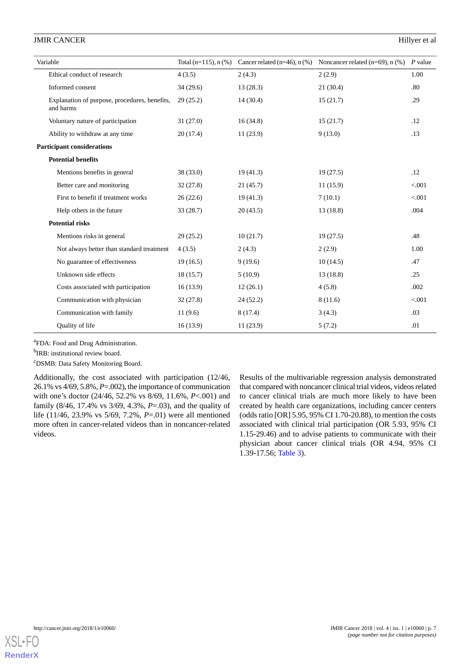| Variable                                                   | Total $(n=115)$ , n $(\%)$ | Cancer related $(n=46)$ , n $(\%)$ | Noncancer related $(n=69)$ , n $(\%)$ | $P$ value |
|------------------------------------------------------------|----------------------------|------------------------------------|---------------------------------------|-----------|
| Ethical conduct of research                                | 4(3.5)                     | 2(4.3)                             | 2(2.9)                                | 1.00      |
| Informed consent                                           | 34(29.6)                   | 13(28.3)                           | 21(30.4)                              | .80       |
| Explanation of purpose, procedures, benefits,<br>and harms | 29(25.2)                   | 14(30.4)                           | 15(21.7)                              | .29       |
| Voluntary nature of participation                          | 31(27.0)                   | 16(34.8)                           | 15(21.7)                              | .12       |
| Ability to withdraw at any time                            | 20(17.4)                   | 11(23.9)                           | 9(13.0)                               | .13       |
| <b>Participant considerations</b>                          |                            |                                    |                                       |           |
| <b>Potential benefits</b>                                  |                            |                                    |                                       |           |
| Mentions benefits in general                               | 38(33.0)                   | 19(41.3)                           | 19(27.5)                              | .12       |
| Better care and monitoring                                 | 32(27.8)                   | 21 (45.7)                          | 11(15.9)                              | < 0.001   |
| First to benefit if treatment works                        | 26(22.6)                   | 19(41.3)                           | 7(10.1)                               | < .001    |
| Help others in the future                                  | 33(28.7)                   | 20(43.5)                           | 13(18.8)                              | .004      |
| <b>Potential risks</b>                                     |                            |                                    |                                       |           |
| Mentions risks in general                                  | 29(25.2)                   | 10(21.7)                           | 19(27.5)                              | .48       |
| Not always better than standard treatment                  | 4(3.5)                     | 2(4.3)                             | 2(2.9)                                | 1.00      |
| No guarantee of effectiveness                              | 19(16.5)                   | 9(19.6)                            | 10(14.5)                              | .47       |
| Unknown side effects                                       | 18(15.7)                   | 5(10.9)                            | 13(18.8)                              | .25       |
| Costs associated with participation                        | 16(13.9)                   | 12(26.1)                           | 4(5.8)                                | .002      |
| Communication with physician                               | 32(27.8)                   | 24(52.2)                           | 8(11.6)                               | < 0.001   |
| Communication with family                                  | 11(9.6)                    | 8(17.4)                            | 3(4.3)                                | .03       |
| Quality of life                                            | 16(13.9)                   | 11(23.9)                           | 5(7.2)                                | .01       |

<sup>a</sup>FDA: Food and Drug Administration.

<sup>b</sup>IRB: institutional review board.

<sup>c</sup>DSMB: Data Safety Monitoring Board.

Additionally, the cost associated with participation (12/46, 26.1% vs 4/69, 5.8%, *P*=.002), the importance of communication with one's doctor (24/46, 52.2% vs 8/69, 11.6%, *P*<.001) and family (8/46, 17.4% vs 3/69, 4.3%, *P*=.03), and the quality of life (11/46, 23.9% vs 5/69, 7.2%, *P*=.01) were all mentioned more often in cancer-related videos than in noncancer-related videos.

Results of the multivariable regression analysis demonstrated that compared with noncancer clinical trial videos, videos related to cancer clinical trials are much more likely to have been created by health care organizations, including cancer centers (odds ratio [OR] 5.95, 95% CI 1.70-20.88), to mention the costs associated with clinical trial participation (OR 5.93, 95% CI 1.15-29.46) and to advise patients to communicate with their physician about cancer clinical trials (OR 4.94, 95% CI 1.39-17.56; [Table 3\)](#page-7-0).

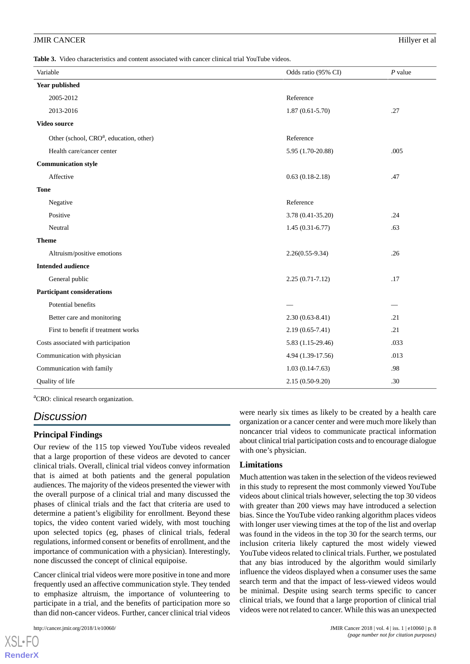<span id="page-7-0"></span>**Table 3.** Video characteristics and content associated with cancer clinical trial YouTube videos.

| Variable                                            | Odds ratio (95% CI) | $P$ value |
|-----------------------------------------------------|---------------------|-----------|
| Year published                                      |                     |           |
| 2005-2012                                           | Reference           |           |
| 2013-2016                                           | $1.87(0.61 - 5.70)$ | .27       |
| Video source                                        |                     |           |
| Other (school, CRO <sup>a</sup> , education, other) | Reference           |           |
| Health care/cancer center                           | 5.95 (1.70-20.88)   | .005      |
| <b>Communication style</b>                          |                     |           |
| Affective                                           | $0.63(0.18-2.18)$   | .47       |
| <b>Tone</b>                                         |                     |           |
| Negative                                            | Reference           |           |
| Positive                                            | 3.78 (0.41-35.20)   | .24       |
| Neutral                                             | $1.45(0.31-6.77)$   | .63       |
| <b>Theme</b>                                        |                     |           |
| Altruism/positive emotions                          | $2.26(0.55-9.34)$   | .26       |
| <b>Intended audience</b>                            |                     |           |
| General public                                      | $2.25(0.71 - 7.12)$ | .17       |
| <b>Participant considerations</b>                   |                     |           |
| Potential benefits                                  |                     |           |
| Better care and monitoring                          | $2.30(0.63 - 8.41)$ | .21       |
| First to benefit if treatment works                 | $2.19(0.65 - 7.41)$ | .21       |
| Costs associated with participation                 | 5.83 (1.15-29.46)   | .033      |
| Communication with physician                        | 4.94 (1.39-17.56)   | .013      |
| Communication with family                           | $1.03(0.14-7.63)$   | .98       |
| Quality of life                                     | $2.15(0.50-9.20)$   | .30       |

<sup>a</sup>CRO: clinical research organization.

## *Discussion*

## **Principal Findings**

Our review of the 115 top viewed YouTube videos revealed that a large proportion of these videos are devoted to cancer clinical trials. Overall, clinical trial videos convey information that is aimed at both patients and the general population audiences. The majority of the videos presented the viewer with the overall purpose of a clinical trial and many discussed the phases of clinical trials and the fact that criteria are used to determine a patient's eligibility for enrollment. Beyond these topics, the video content varied widely, with most touching upon selected topics (eg, phases of clinical trials, federal regulations, informed consent or benefits of enrollment, and the importance of communication with a physician). Interestingly, none discussed the concept of clinical equipoise.

Cancer clinical trial videos were more positive in tone and more frequently used an affective communication style. They tended to emphasize altruism, the importance of volunteering to participate in a trial, and the benefits of participation more so than did non-cancer videos. Further, cancer clinical trial videos

[XSL](http://www.w3.org/Style/XSL)•FO **[RenderX](http://www.renderx.com/)**

were nearly six times as likely to be created by a health care organization or a cancer center and were much more likely than noncancer trial videos to communicate practical information about clinical trial participation costs and to encourage dialogue with one's physician.

## **Limitations**

Much attention was taken in the selection of the videos reviewed in this study to represent the most commonly viewed YouTube videos about clinical trials however, selecting the top 30 videos with greater than 200 views may have introduced a selection bias. Since the YouTube video ranking algorithm places videos with longer user viewing times at the top of the list and overlap was found in the videos in the top 30 for the search terms, our inclusion criteria likely captured the most widely viewed YouTube videos related to clinical trials. Further, we postulated that any bias introduced by the algorithm would similarly influence the videos displayed when a consumer uses the same search term and that the impact of less-viewed videos would be minimal. Despite using search terms specific to cancer clinical trials, we found that a large proportion of clinical trial videos were not related to cancer. While this was an unexpected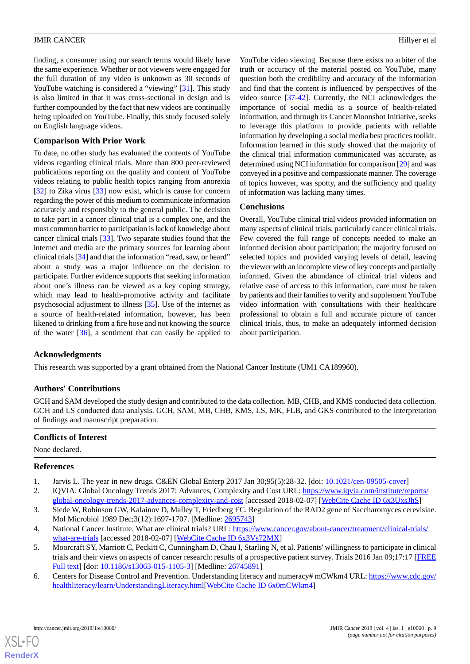finding, a consumer using our search terms would likely have the same experience. Whether or not viewers were engaged for the full duration of any video is unknown as 30 seconds of YouTube watching is considered a "viewing" [[31\]](#page-10-1). This study is also limited in that it was cross-sectional in design and is further compounded by the fact that new videos are continually being uploaded on YouTube. Finally, this study focused solely on English language videos.

## **Comparison With Prior Work**

To date, no other study has evaluated the contents of YouTube videos regarding clinical trials. More than 800 peer-reviewed publications reporting on the quality and content of YouTube videos relating to public health topics ranging from anorexia [[32\]](#page-10-2) to Zika virus [\[33](#page-10-3)] now exist, which is cause for concern regarding the power of this medium to communicate information accurately and responsibly to the general public. The decision to take part in a cancer clinical trial is a complex one, and the most common barrier to participation is lack of knowledge about cancer clinical trials [\[33](#page-10-3)]. Two separate studies found that the internet and media are the primary sources for learning about clinical trials [[34\]](#page-10-4) and that the information "read, saw, or heard" about a study was a major influence on the decision to participate. Further evidence supports that seeking information about one's illness can be viewed as a key coping strategy, which may lead to health-promotive activity and facilitate psychosocial adjustment to illness [\[35](#page-10-5)]. Use of the internet as a source of health-related information, however, has been likened to drinking from a fire hose and not knowing the source of the water [[36\]](#page-10-6), a sentiment that can easily be applied to

YouTube video viewing. Because there exists no arbiter of the truth or accuracy of the material posted on YouTube, many question both the credibility and accuracy of the information and find that the content is influenced by perspectives of the video source [[37](#page-10-7)[-42](#page-10-8)]. Currently, the NCI acknowledges the importance of social media as a source of health-related information, and through its Cancer Moonshot Initiative, seeks to leverage this platform to provide patients with reliable information by developing a social media best practices toolkit. Information learned in this study showed that the majority of the clinical trial information communicated was accurate, as determined using NCI information for comparison [\[29\]](#page-9-14) and was conveyed in a positive and compassionate manner. The coverage of topics however, was spotty, and the sufficiency and quality of information was lacking many times.

## **Conclusions**

Overall, YouTube clinical trial videos provided information on many aspects of clinical trials, particularly cancer clinical trials. Few covered the full range of concepts needed to make an informed decision about participation; the majority focused on selected topics and provided varying levels of detail, leaving the viewer with an incomplete view of key concepts and partially informed. Given the abundance of clinical trial videos and relative ease of access to this information, care must be taken by patients and their families to verify and supplement YouTube video information with consultations with their healthcare professional to obtain a full and accurate picture of cancer clinical trials, thus, to make an adequately informed decision about participation.

## **Acknowledgments**

This research was supported by a grant obtained from the National Cancer Institute (UM1 CA189960).

## **Authors' Contributions**

GCH and SAM developed the study design and contributed to the data collection. MB, CHB, and KMS conducted data collection. GCH and LS conducted data analysis. GCH, SAM, MB, CHB, KMS, LS, MK, FLB, and GKS contributed to the interpretation of findings and manuscript preparation.

## <span id="page-8-1"></span><span id="page-8-0"></span>**Conflicts of Interest**

None declared.

## <span id="page-8-2"></span>**References**

- <span id="page-8-3"></span>1. Jarvis L. The year in new drugs. C&EN Global Enterp 2017 Jan 30;95(5):28-32. [doi: [10.1021/cen-09505-cover\]](http://dx.doi.org/10.1021/cen-09505-cover)
- <span id="page-8-4"></span>2. IQVIA. Global Oncology Trends 2017: Advances, Complexity and Cost URL: [https://www.iqvia.com/institute/reports/](https://www.iqvia.com/institute/reports/global-oncology-trends-2017-advances-complexity-and-cost) [global-oncology-trends-2017-advances-complexity-and-cost](https://www.iqvia.com/institute/reports/global-oncology-trends-2017-advances-complexity-and-cost) [accessed 2018-02-07] [\[WebCite Cache ID 6x3UxsJhS\]](http://www.webcitation.org/

                                6x3UxsJhS)
- <span id="page-8-5"></span>3. Siede W, Robinson GW, Kalainov D, Malley T, Friedberg EC. Regulation of the RAD2 gene of Saccharomyces cerevisiae. Mol Microbiol 1989 Dec;3(12):1697-1707. [Medline: [2695743](http://www.ncbi.nlm.nih.gov/entrez/query.fcgi?cmd=Retrieve&db=PubMed&list_uids=2695743&dopt=Abstract)]
- 4. National Cancer Institute. What are clinical trials? URL: [https://www.cancer.gov/about-cancer/treatment/clinical-trials/](https://www.cancer.gov/about-cancer/treatment/clinical-trials/what-are-trials) [what-are-trials](https://www.cancer.gov/about-cancer/treatment/clinical-trials/what-are-trials) [accessed 2018-02-07] [[WebCite Cache ID 6x3Vs72MX\]](http://www.webcitation.org/

                                6x3Vs72MX)
- 5. Moorcraft SY, Marriott C, Peckitt C, Cunningham D, Chau I, Starling N, et al. Patients' willingness to participate in clinical trials and their views on aspects of cancer research: results of a prospective patient survey. Trials 2016 Jan 09;17:17 [\[FREE](https://trialsjournal.biomedcentral.com/articles/10.1186/s13063-015-1105-3) [Full text\]](https://trialsjournal.biomedcentral.com/articles/10.1186/s13063-015-1105-3) [doi: [10.1186/s13063-015-1105-3](http://dx.doi.org/10.1186/s13063-015-1105-3)] [Medline: [26745891](http://www.ncbi.nlm.nih.gov/entrez/query.fcgi?cmd=Retrieve&db=PubMed&list_uids=26745891&dopt=Abstract)]
- 6. Centers for Disease Control and Prevention. Understanding literacy and numeracy# mCWkm4 URL: [https://www.cdc.gov/](https://www.cdc.gov/healthliteracy/learn/UnderstandingLiteracy.html) [healthliteracy/learn/UnderstandingLiteracy.html\[](https://www.cdc.gov/healthliteracy/learn/UnderstandingLiteracy.html)[WebCite Cache ID 6x0mCWkm4](http://www.webcitation.org/

                                6x0mCWkm4)]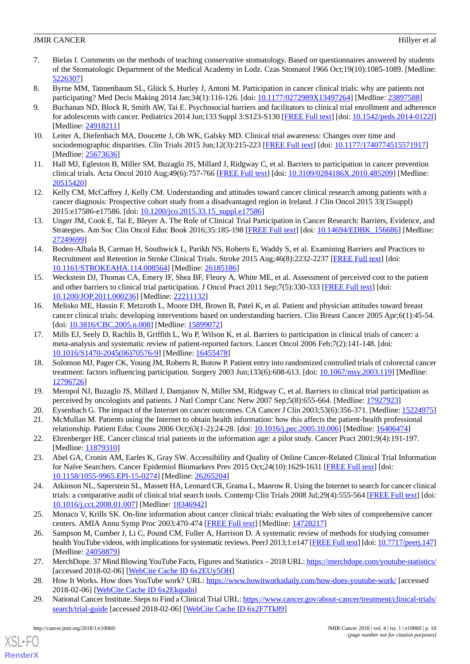- <span id="page-9-0"></span>7. Bielas I. Comments on the methods of teaching conservative stomatology. Based on questionnaires answered by students of the Stomatologic Department of the Medical Academy in Lodz. Czas Stomatol 1966 Oct;19(10):1085-1089. [Medline: [5226307\]](http://www.ncbi.nlm.nih.gov/entrez/query.fcgi?cmd=Retrieve&db=PubMed&list_uids=5226307&dopt=Abstract)
- <span id="page-9-1"></span>8. Byrne MM, Tannenbaum SL, Glück S, Hurley J, Antoni M. Participation in cancer clinical trials: why are patients not participating? Med Decis Making 2014 Jan;34(1):116-126. [doi: [10.1177/0272989X13497264\]](http://dx.doi.org/10.1177/0272989X13497264) [Medline: [23897588\]](http://www.ncbi.nlm.nih.gov/entrez/query.fcgi?cmd=Retrieve&db=PubMed&list_uids=23897588&dopt=Abstract)
- 9. Buchanan ND, Block R, Smith AW, Tai E. Psychosocial barriers and facilitators to clinical trial enrollment and adherence for adolescents with cancer. Pediatrics 2014 Jun;133 Suppl 3:S123-S130 [\[FREE Full text\]](http://pediatrics.aappublications.org/cgi/pmidlookup?view=long&pmid=24918211) [doi: [10.1542/peds.2014-0122I](http://dx.doi.org/10.1542/peds.2014-0122I)] [Medline: [24918211](http://www.ncbi.nlm.nih.gov/entrez/query.fcgi?cmd=Retrieve&db=PubMed&list_uids=24918211&dopt=Abstract)]
- 10. Leiter A, Diefenbach MA, Doucette J, Oh WK, Galsky MD. Clinical trial awareness: Changes over time and sociodemographic disparities. Clin Trials 2015 Jun;12(3):215-223 [\[FREE Full text\]](http://europepmc.org/abstract/MED/25673636) [doi: [10.1177/1740774515571917](http://dx.doi.org/10.1177/1740774515571917)] [Medline: [25673636](http://www.ncbi.nlm.nih.gov/entrez/query.fcgi?cmd=Retrieve&db=PubMed&list_uids=25673636&dopt=Abstract)]
- 11. Hall MJ, Egleston B, Miller SM, Buzaglo JS, Millard J, Ridgway C, et al. Barriers to participation in cancer prevention clinical trials. Acta Oncol 2010 Aug;49(6):757-766 [[FREE Full text](http://europepmc.org/abstract/MED/20515420)] [doi: [10.3109/0284186X.2010.485209](http://dx.doi.org/10.3109/0284186X.2010.485209)] [Medline: [20515420](http://www.ncbi.nlm.nih.gov/entrez/query.fcgi?cmd=Retrieve&db=PubMed&list_uids=20515420&dopt=Abstract)]
- 12. Kelly CM, McCaffrey J, Kelly CM. Understanding and attitudes toward cancer clinical research among patients with a cancer diagnosis: Prospective cohort study from a disadvantaged region in Ireland. J Clin Oncol 2015 33(15suppl) 2015:e17586-e17586. [doi: [10.1200/jco.2015.33.15\\_suppl.e17586\]](http://dx.doi.org/10.1200/jco.2015.33.15_suppl.e17586)
- <span id="page-9-2"></span>13. Unger JM, Cook E, Tai E, Bleyer A. The Role of Clinical Trial Participation in Cancer Research: Barriers, Evidence, and Strategies. Am Soc Clin Oncol Educ Book 2016;35:185-198 [\[FREE Full text\]](http://meetinglibrary.asco.org/edbook/pubmed/27249699) [doi: [10.14694/EDBK\\_156686\]](http://dx.doi.org/10.14694/EDBK_156686) [Medline: [27249699](http://www.ncbi.nlm.nih.gov/entrez/query.fcgi?cmd=Retrieve&db=PubMed&list_uids=27249699&dopt=Abstract)]
- <span id="page-9-3"></span>14. Boden-Albala B, Carman H, Southwick L, Parikh NS, Roberts E, Waddy S, et al. Examining Barriers and Practices to Recruitment and Retention in Stroke Clinical Trials. Stroke 2015 Aug;46(8):2232-2237 [\[FREE Full text\]](http://stroke.ahajournals.org/cgi/pmidlookup?view=long&pmid=26185186) [doi: [10.1161/STROKEAHA.114.008564\]](http://dx.doi.org/10.1161/STROKEAHA.114.008564) [Medline: [26185186\]](http://www.ncbi.nlm.nih.gov/entrez/query.fcgi?cmd=Retrieve&db=PubMed&list_uids=26185186&dopt=Abstract)
- 15. Weckstein DJ, Thomas CA, Emery IF, Shea BF, Fleury A, White ME, et al. Assessment of perceived cost to the patient and other barriers to clinical trial participation. J Oncol Pract 2011 Sep;7(5):330-333 [\[FREE Full text\]](http://europepmc.org/abstract/MED/22211132) [doi: [10.1200/JOP.2011.000236](http://dx.doi.org/10.1200/JOP.2011.000236)] [Medline: [22211132](http://www.ncbi.nlm.nih.gov/entrez/query.fcgi?cmd=Retrieve&db=PubMed&list_uids=22211132&dopt=Abstract)]
- 16. Melisko ME, Hassin F, Metzroth L, Moore DH, Brown B, Patel K, et al. Patient and physician attitudes toward breast cancer clinical trials: developing interventions based on understanding barriers. Clin Breast Cancer 2005 Apr;6(1):45-54. [doi: [10.3816/CBC.2005.n.008\]](http://dx.doi.org/10.3816/CBC.2005.n.008) [Medline: [15899072](http://www.ncbi.nlm.nih.gov/entrez/query.fcgi?cmd=Retrieve&db=PubMed&list_uids=15899072&dopt=Abstract)]
- 17. Mills EJ, Seely D, Rachlis B, Griffith L, Wu P, Wilson K, et al. Barriers to participation in clinical trials of cancer: a meta-analysis and systematic review of patient-reported factors. Lancet Oncol 2006 Feb;7(2):141-148. [doi: [10.1016/S1470-2045\(06\)70576-9\]](http://dx.doi.org/10.1016/S1470-2045(06)70576-9) [Medline: [16455478](http://www.ncbi.nlm.nih.gov/entrez/query.fcgi?cmd=Retrieve&db=PubMed&list_uids=16455478&dopt=Abstract)]
- <span id="page-9-5"></span><span id="page-9-4"></span>18. Solomon MJ, Pager CK, Young JM, Roberts R, Butow P. Patient entry into randomized controlled trials of colorectal cancer treatment: factors influencing participation. Surgery 2003 Jun;133(6):608-613. [doi: [10.1067/msy.2003.119](http://dx.doi.org/10.1067/msy.2003.119)] [Medline: [12796726](http://www.ncbi.nlm.nih.gov/entrez/query.fcgi?cmd=Retrieve&db=PubMed&list_uids=12796726&dopt=Abstract)]
- <span id="page-9-7"></span><span id="page-9-6"></span>19. Meropol NJ, Buzaglo JS, Millard J, Damjanov N, Miller SM, Ridgway C, et al. Barriers to clinical trial participation as perceived by oncologists and patients. J Natl Compr Canc Netw 2007 Sep;5(8):655-664. [Medline: [17927923\]](http://www.ncbi.nlm.nih.gov/entrez/query.fcgi?cmd=Retrieve&db=PubMed&list_uids=17927923&dopt=Abstract)
- <span id="page-9-8"></span>20. Eysenbach G. The impact of the Internet on cancer outcomes. CA Cancer J Clin 2003;53(6):356-371. [Medline: [15224975](http://www.ncbi.nlm.nih.gov/entrez/query.fcgi?cmd=Retrieve&db=PubMed&list_uids=15224975&dopt=Abstract)] 21. McMullan M. Patients using the Internet to obtain health information: how this affects the patient-health professional
- <span id="page-9-9"></span>relationship. Patient Educ Couns 2006 Oct;63(1-2):24-28. [doi: [10.1016/j.pec.2005.10.006](http://dx.doi.org/10.1016/j.pec.2005.10.006)] [Medline: [16406474\]](http://www.ncbi.nlm.nih.gov/entrez/query.fcgi?cmd=Retrieve&db=PubMed&list_uids=16406474&dopt=Abstract) 22. Ehrenberger HE. Cancer clinical trial patients in the information age: a pilot study. Cancer Pract 2001;9(4):191-197.
- <span id="page-9-10"></span>[Medline: [11879310](http://www.ncbi.nlm.nih.gov/entrez/query.fcgi?cmd=Retrieve&db=PubMed&list_uids=11879310&dopt=Abstract)] 23. Abel GA, Cronin AM, Earles K, Gray SW. Accessibility and Quality of Online Cancer-Related Clinical Trial Information for Naïve Searchers. Cancer Epidemiol Biomarkers Prev 2015 Oct;24(10):1629-1631 [[FREE Full text\]](http://cebp.aacrjournals.org/cgi/pmidlookup?view=long&pmid=26265204) [doi: [10.1158/1055-9965.EPI-15-0274](http://dx.doi.org/10.1158/1055-9965.EPI-15-0274)] [Medline: [26265204](http://www.ncbi.nlm.nih.gov/entrez/query.fcgi?cmd=Retrieve&db=PubMed&list_uids=26265204&dopt=Abstract)]
- <span id="page-9-11"></span>24. Atkinson NL, Saperstein SL, Massett HA, Leonard CR, Grama L, Manrow R. Using the Internet to search for cancer clinical trials: a comparative audit of clinical trial search tools. Contemp Clin Trials 2008 Jul;29(4):555-564 [\[FREE Full text](http://europepmc.org/abstract/MED/18346942)] [doi: [10.1016/j.cct.2008.01.007](http://dx.doi.org/10.1016/j.cct.2008.01.007)] [Medline: [18346942](http://www.ncbi.nlm.nih.gov/entrez/query.fcgi?cmd=Retrieve&db=PubMed&list_uids=18346942&dopt=Abstract)]
- <span id="page-9-13"></span><span id="page-9-12"></span>25. Monaco V, Krills SK. On-line information about cancer clinical trials: evaluating the Web sites of comprehensive cancer centers. AMIA Annu Symp Proc 2003:470-474 [\[FREE Full text\]](http://europepmc.org/abstract/MED/14728217) [Medline: [14728217](http://www.ncbi.nlm.nih.gov/entrez/query.fcgi?cmd=Retrieve&db=PubMed&list_uids=14728217&dopt=Abstract)]
- <span id="page-9-14"></span>26. Sampson M, Cumber J, Li C, Pound CM, Fuller A, Harrison D. A systematic review of methods for studying consumer health YouTube videos, with implications for systematic reviews. PeerJ 2013;1:e147 [[FREE Full text](https://dx.doi.org/10.7717/peerj.147)] [doi: [10.7717/peerj.147\]](http://dx.doi.org/10.7717/peerj.147) [Medline: [24058879](http://www.ncbi.nlm.nih.gov/entrez/query.fcgi?cmd=Retrieve&db=PubMed&list_uids=24058879&dopt=Abstract)]
- 27. MerchDope. 37 Mind Blowing YouTube Facts, Figures and Statistics 2018 URL:<https://merchdope.com/youtube-statistics/> [accessed 2018-02-06] [\[WebCite Cache ID 6x2EUy5OH\]](http://www.webcitation.org/

                                6x2EUy5OH)
- 28. How It Works. How does YouTube work? URL: <https://www.howitworksdaily.com/how-does-youtube-work/> [accessed 2018-02-06] [\[WebCite Cache ID 6x2Ekqudn](http://www.webcitation.org/

                                6x2Ekqudn)]
- 29. National Cancer Institute. Steps to Find a Clinical Trial URL: [https://www.cancer.gov/about-cancer/treatment/clinical-trials/](https://www.cancer.gov/about-cancer/treatment/clinical-trials/search/trial-guide) [search/trial-guide](https://www.cancer.gov/about-cancer/treatment/clinical-trials/search/trial-guide) [accessed 2018-02-06] [[WebCite Cache ID 6x2F7Tk89](http://www.webcitation.org/

                                6x2F7Tk89)]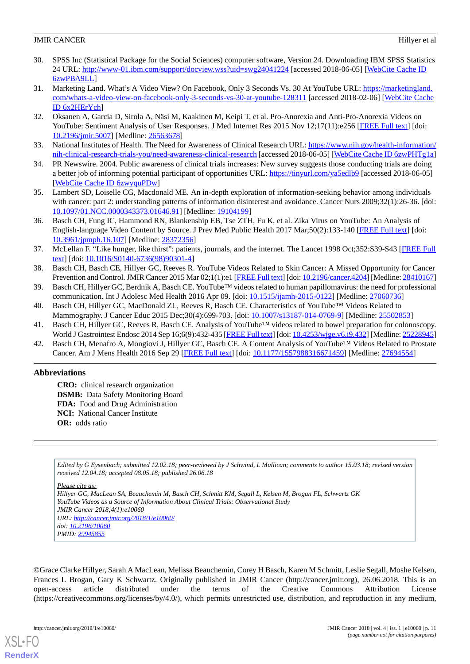- <span id="page-10-0"></span>30. SPSS Inc (Statistical Package for the Social Sciences) computer software, Version 24. Downloading IBM SPSS Statistics 24 URL:<http://www-01.ibm.com/support/docview.wss?uid=swg24041224> [accessed 2018-06-05] [\[WebCite Cache ID](http://www.webcitation.org/

                                6zwPBA9LL) [6zwPBA9LL\]](http://www.webcitation.org/

                                6zwPBA9LL)
- <span id="page-10-1"></span>31. Marketing Land. What's A Video View? On Facebook, Only 3 Seconds Vs. 30 At YouTube URL: [https://marketingland.](https://marketingland.com/whats-a-video-view-on-facebook-only-3-seconds-vs-30-at-youtube-128311) [com/whats-a-video-view-on-facebook-only-3-seconds-vs-30-at-youtube-128311](https://marketingland.com/whats-a-video-view-on-facebook-only-3-seconds-vs-30-at-youtube-128311) [accessed 2018-02-06] [\[WebCite Cache](http://www.webcitation.org/

                                6x2HErYch) [ID 6x2HErYch\]](http://www.webcitation.org/

                                6x2HErYch)
- <span id="page-10-3"></span><span id="page-10-2"></span>32. Oksanen A, Garcia D, Sirola A, Näsi M, Kaakinen M, Keipi T, et al. Pro-Anorexia and Anti-Pro-Anorexia Videos on YouTube: Sentiment Analysis of User Responses. J Med Internet Res 2015 Nov 12;17(11):e256 [[FREE Full text](http://www.jmir.org/2015/11/e256/)] [doi: [10.2196/jmir.5007](http://dx.doi.org/10.2196/jmir.5007)] [Medline: [26563678](http://www.ncbi.nlm.nih.gov/entrez/query.fcgi?cmd=Retrieve&db=PubMed&list_uids=26563678&dopt=Abstract)]
- <span id="page-10-4"></span>33. National Institutes of Health. The Need for Awareness of Clinical Research URL: [https://www.nih.gov/health-information/](https://www.nih.gov/health-information/nih-clinical-research-trials-you/need-awareness-clinical-research) [nih-clinical-research-trials-you/need-awareness-clinical-research](https://www.nih.gov/health-information/nih-clinical-research-trials-you/need-awareness-clinical-research) [accessed 2018-06-05] [\[WebCite Cache ID 6zwPHTg1a](http://www.webcitation.org/

                                6zwPHTg1a)]
- <span id="page-10-5"></span>34. PR Newswire. 2004. Public awareness of clinical trials increases: New survey suggests those conducting trials are doing a better job of informing potential participant of opportunities URL: <https://tinyurl.com/ya5edlb9> [accessed 2018-06-05] [[WebCite Cache ID 6zwyquPDw](http://www.webcitation.org/

                                6zwyquPDw)]
- <span id="page-10-6"></span>35. Lambert SD, Loiselle CG, Macdonald ME. An in-depth exploration of information-seeking behavior among individuals with cancer: part 2: understanding patterns of information disinterest and avoidance. Cancer Nurs 2009;32(1):26-36. [doi: [10.1097/01.NCC.0000343373.01646.91](http://dx.doi.org/10.1097/01.NCC.0000343373.01646.91)] [Medline: [19104199](http://www.ncbi.nlm.nih.gov/entrez/query.fcgi?cmd=Retrieve&db=PubMed&list_uids=19104199&dopt=Abstract)]
- <span id="page-10-7"></span>36. Basch CH, Fung IC, Hammond RN, Blankenship EB, Tse ZTH, Fu K, et al. Zika Virus on YouTube: An Analysis of English-language Video Content by Source. J Prev Med Public Health 2017 Mar;50(2):133-140 [\[FREE Full text\]](https://dx.doi.org/10.3961/jpmph.16.107) [doi: [10.3961/jpmph.16.107](http://dx.doi.org/10.3961/jpmph.16.107)] [Medline: [28372356](http://www.ncbi.nlm.nih.gov/entrez/query.fcgi?cmd=Retrieve&db=PubMed&list_uids=28372356&dopt=Abstract)]
- 37. McLellan F. "Like hunger, like thirst": patients, journals, and the internet. The Lancet 1998 Oct;352:S39-S43 [[FREE Full](https://www.thelancet.com/journals/lancet/article/PIIS0140-6736(98)90301-4/fulltext#back-bib12) [text](https://www.thelancet.com/journals/lancet/article/PIIS0140-6736(98)90301-4/fulltext#back-bib12)] [doi: [10.1016/S0140-6736\(98\)90301-4\]](http://dx.doi.org/10.1016/S0140-6736(98)90301-4)
- 38. Basch CH, Basch CE, Hillyer GC, Reeves R. YouTube Videos Related to Skin Cancer: A Missed Opportunity for Cancer Prevention and Control. JMIR Cancer 2015 Mar 02;1(1):e1 [\[FREE Full text\]](http://cancer.jmir.org/2015/1/e1/) [doi: [10.2196/cancer.4204\]](http://dx.doi.org/10.2196/cancer.4204) [Medline: [28410167\]](http://www.ncbi.nlm.nih.gov/entrez/query.fcgi?cmd=Retrieve&db=PubMed&list_uids=28410167&dopt=Abstract)
- 39. Basch CH, Hillyer GC, Berdnik A, Basch CE. YouTube™ videos related to human papillomavirus: the need for professional communication. Int J Adolesc Med Health 2016 Apr 09. [doi: [10.1515/ijamh-2015-0122\]](http://dx.doi.org/10.1515/ijamh-2015-0122) [Medline: [27060736](http://www.ncbi.nlm.nih.gov/entrez/query.fcgi?cmd=Retrieve&db=PubMed&list_uids=27060736&dopt=Abstract)]
- <span id="page-10-8"></span>40. Basch CH, Hillyer GC, MacDonald ZL, Reeves R, Basch CE. Characteristics of YouTube™ Videos Related to Mammography. J Cancer Educ 2015 Dec;30(4):699-703. [doi: [10.1007/s13187-014-0769-9](http://dx.doi.org/10.1007/s13187-014-0769-9)] [Medline: [25502853](http://www.ncbi.nlm.nih.gov/entrez/query.fcgi?cmd=Retrieve&db=PubMed&list_uids=25502853&dopt=Abstract)]
- 41. Basch CH, Hillyer GC, Reeves R, Basch CE. Analysis of YouTube™ videos related to bowel preparation for colonoscopy. World J Gastrointest Endosc 2014 Sep 16;6(9):432-435 [[FREE Full text](http://www.wjgnet.com/1948-5190/full/v6/i9/432.htm)] [doi: [10.4253/wjge.v6.i9.432](http://dx.doi.org/10.4253/wjge.v6.i9.432)] [Medline: [25228945\]](http://www.ncbi.nlm.nih.gov/entrez/query.fcgi?cmd=Retrieve&db=PubMed&list_uids=25228945&dopt=Abstract)
- 42. Basch CH, Menafro A, Mongiovi J, Hillyer GC, Basch CE. A Content Analysis of YouTube™ Videos Related to Prostate Cancer. Am J Mens Health 2016 Sep 29 [[FREE Full text](http://europepmc.org/abstract/MED/27694554)] [doi: [10.1177/1557988316671459\]](http://dx.doi.org/10.1177/1557988316671459) [Medline: [27694554\]](http://www.ncbi.nlm.nih.gov/entrez/query.fcgi?cmd=Retrieve&db=PubMed&list_uids=27694554&dopt=Abstract)

## **Abbreviations**

**CRO:** clinical research organization **DSMB:** Data Safety Monitoring Board **FDA:** Food and Drug Administration **NCI:** National Cancer Institute **OR:** odds ratio

*Edited by G Eysenbach; submitted 12.02.18; peer-reviewed by J Schwind, L Mullican; comments to author 15.03.18; revised version received 12.04.18; accepted 08.05.18; published 26.06.18*

*Please cite as:*

*Hillyer GC, MacLean SA, Beauchemin M, Basch CH, Schmitt KM, Segall L, Kelsen M, Brogan FL, Schwartz GK YouTube Videos as a Source of Information About Clinical Trials: Observational Study JMIR Cancer 2018;4(1):e10060 URL: <http://cancer.jmir.org/2018/1/e10060/> doi: [10.2196/10060](http://dx.doi.org/10.2196/10060) PMID: [29945855](http://www.ncbi.nlm.nih.gov/entrez/query.fcgi?cmd=Retrieve&db=PubMed&list_uids=29945855&dopt=Abstract)*

©Grace Clarke Hillyer, Sarah A MacLean, Melissa Beauchemin, Corey H Basch, Karen M Schmitt, Leslie Segall, Moshe Kelsen, Frances L Brogan, Gary K Schwartz. Originally published in JMIR Cancer (http://cancer.jmir.org), 26.06.2018. This is an open-access article distributed under the terms of the Creative Commons Attribution License (https://creativecommons.org/licenses/by/4.0/), which permits unrestricted use, distribution, and reproduction in any medium,